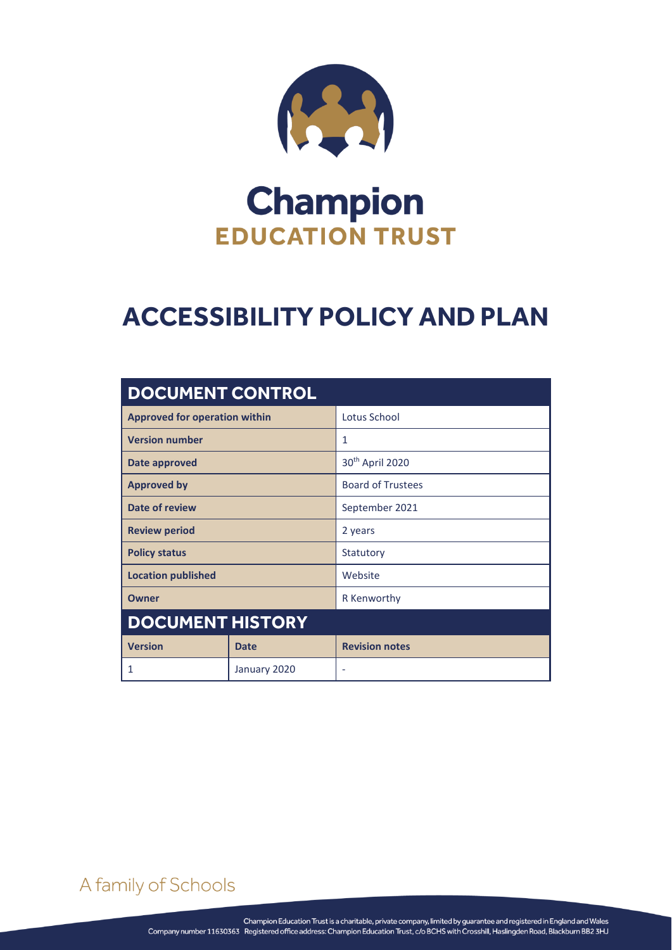

# **Champion EDUCATION TRUST**

## **ACCESSIBILITY POLICY AND PLAN**

| <b>DOCUMENT CONTROL</b>              |              |                             |
|--------------------------------------|--------------|-----------------------------|
| <b>Approved for operation within</b> |              | Lotus School                |
| <b>Version number</b>                |              | 1                           |
| Date approved                        |              | 30 <sup>th</sup> April 2020 |
| <b>Approved by</b>                   |              | <b>Board of Trustees</b>    |
| Date of review                       |              | September 2021              |
| <b>Review period</b>                 |              | 2 years                     |
| <b>Policy status</b>                 |              | Statutory                   |
| <b>Location published</b>            |              | Website                     |
| <b>Owner</b>                         |              | R Kenworthy                 |
| <b>DOCUMENT HISTORY</b>              |              |                             |
| <b>Version</b>                       | <b>Date</b>  | <b>Revision notes</b>       |
| 1                                    | January 2020 | $\overline{\phantom{a}}$    |

A family of Schools

ACCESSIBILITY POLICY AND PLAN Page **0** of **2**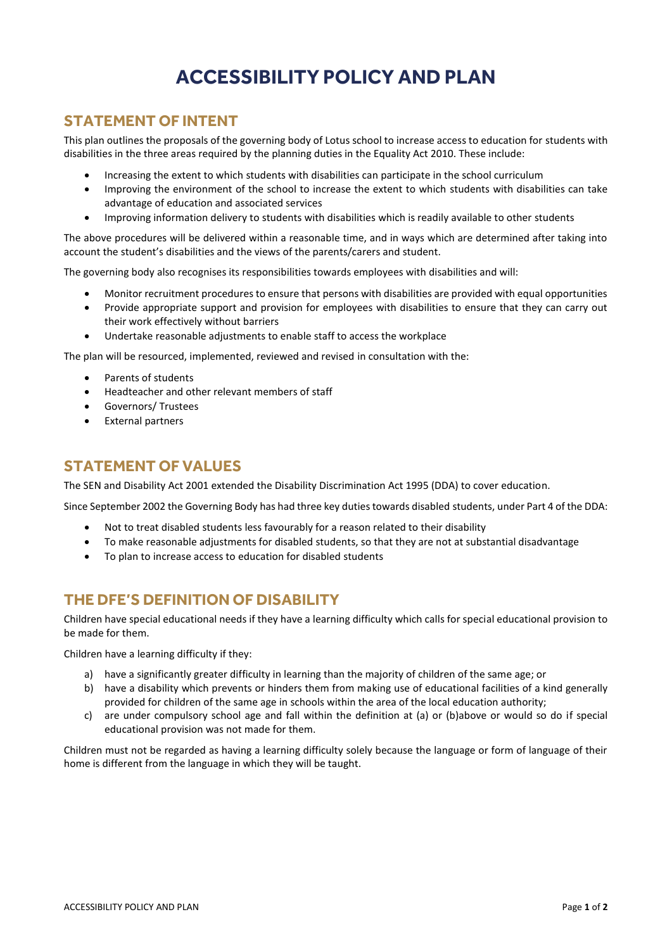### **ACCESSIBILITY POLICY AND PLAN**

#### **STATEMENT OF INTENT**

This plan outlines the proposals of the governing body of Lotus school to increase access to education for students with disabilities in the three areas required by the planning duties in the Equality Act 2010. These include:

- Increasing the extent to which students with disabilities can participate in the school curriculum
- Improving the environment of the school to increase the extent to which students with disabilities can take advantage of education and associated services
- Improving information delivery to students with disabilities which is readily available to other students

The above procedures will be delivered within a reasonable time, and in ways which are determined after taking into account the student's disabilities and the views of the parents/carers and student.

The governing body also recognises its responsibilities towards employees with disabilities and will:

- Monitor recruitment procedures to ensure that persons with disabilities are provided with equal opportunities
- Provide appropriate support and provision for employees with disabilities to ensure that they can carry out their work effectively without barriers
- Undertake reasonable adjustments to enable staff to access the workplace

The plan will be resourced, implemented, reviewed and revised in consultation with the:

- Parents of students
- Headteacher and other relevant members of staff
- Governors/ Trustees
- External partners

#### **STATEMENT OF VALUES**

The SEN and Disability Act 2001 extended the Disability Discrimination Act 1995 (DDA) to cover education.

Since September 2002 the Governing Body has had three key duties towards disabled students, under Part 4 of the DDA:

- Not to treat disabled students less favourably for a reason related to their disability
- To make reasonable adjustments for disabled students, so that they are not at substantial disadvantage
- To plan to increase access to education for disabled students

#### **THE DFE'S DEFINITION OF DISABILITY**

Children have special educational needs if they have a learning difficulty which calls for special educational provision to be made for them.

Children have a learning difficulty if they:

- a) have a significantly greater difficulty in learning than the majority of children of the same age; or
- b) have a disability which prevents or hinders them from making use of educational facilities of a kind generally provided for children of the same age in schools within the area of the local education authority;
- c) are under compulsory school age and fall within the definition at (a) or (b)above or would so do if special educational provision was not made for them.

Children must not be regarded as having a learning difficulty solely because the language or form of language of their home is different from the language in which they will be taught.